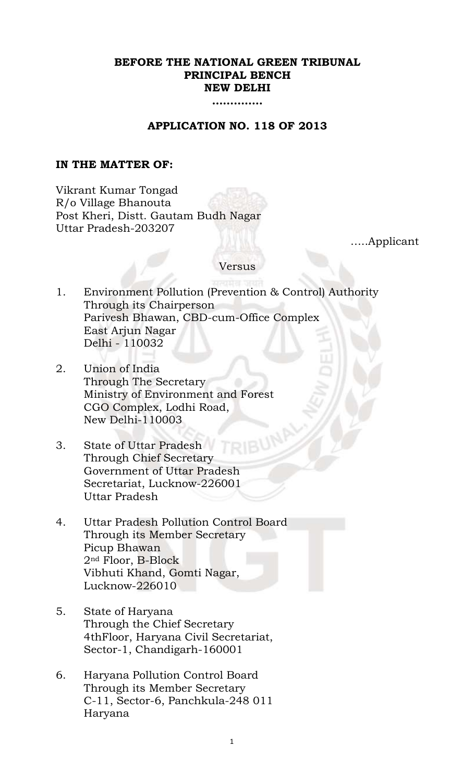## **BEFORE THE NATIONAL GREEN TRIBUNAL PRINCIPAL BENCH NEW DELHI**

**…………..**

### **APPLICATION NO. 118 OF 2013**

### **IN THE MATTER OF:**

Vikrant Kumar Tongad R/o Village Bhanouta Post Kheri, Distt. Gautam Budh Nagar Uttar Pradesh-203207

…..Applicant

#### Versus

- 1. Environment Pollution (Prevention & Control) Authority Through its Chairperson Parivesh Bhawan, CBD-cum-Office Complex East Arjun Nagar Delhi - 110032
- 2. Union of India Through The Secretary Ministry of Environment and Forest CGO Complex, Lodhi Road, New Delhi-110003
- 3. State of Uttar Pradesh Through Chief Secretary Government of Uttar Pradesh Secretariat, Lucknow-226001 Uttar Pradesh
- 4. Uttar Pradesh Pollution Control Board Through its Member Secretary Picup Bhawan 2nd Floor, B-Block Vibhuti Khand, Gomti Nagar, Lucknow-226010
- 5. State of Haryana Through the Chief Secretary 4thFloor, Haryana Civil Secretariat, Sector-1, Chandigarh-160001
- 6. Haryana Pollution Control Board Through its Member Secretary C-11, Sector-6, Panchkula-248 011 Haryana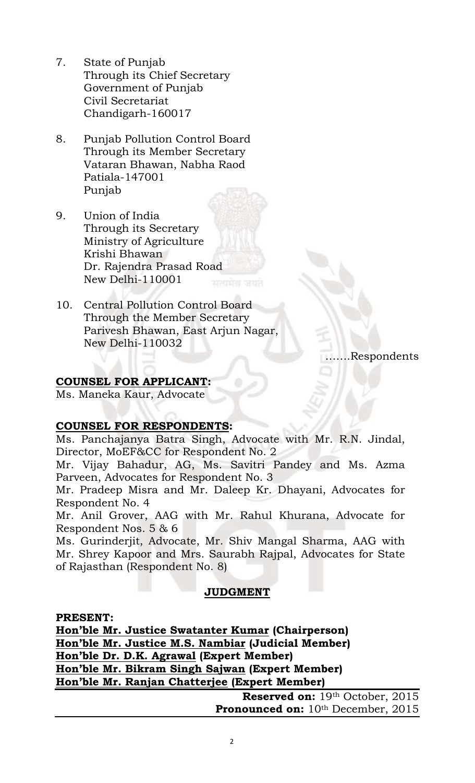- 7. State of Punjab Through its Chief Secretary Government of Punjab Civil Secretariat Chandigarh-160017
- 8. Punjab Pollution Control Board Through its Member Secretary Vataran Bhawan, Nabha Raod Patiala-147001 Punjab
- 9. Union of India Through its Secretary Ministry of Agriculture Krishi Bhawan Dr. Rajendra Prasad Road New Delhi-110001
- 10. Central Pollution Control Board Through the Member Secretary Parivesh Bhawan, East Arjun Nagar, New Delhi-110032

…….Respondents

## **COUNSEL FOR APPLICANT:**

Ms. Maneka Kaur, Advocate

## **COUNSEL FOR RESPONDENTS:**

Ms. Panchajanya Batra Singh, Advocate with Mr. R.N. Jindal, Director, MoEF&CC for Respondent No. 2

Mr. Vijay Bahadur, AG, Ms. Savitri Pandey and Ms. Azma Parveen, Advocates for Respondent No. 3

Mr. Pradeep Misra and Mr. Daleep Kr. Dhayani, Advocates for Respondent No. 4

Mr. Anil Grover, AAG with Mr. Rahul Khurana, Advocate for Respondent Nos. 5 & 6

Ms. Gurinderjit, Advocate, Mr. Shiv Mangal Sharma, AAG with Mr. Shrey Kapoor and Mrs. Saurabh Rajpal, Advocates for State of Rajasthan (Respondent No. 8)

# **JUDGMENT**

**PRESENT:**

**Hon'ble Mr. Justice Swatanter Kumar (Chairperson) Hon'ble Mr. Justice M.S. Nambiar (Judicial Member) Hon'ble Dr. D.K. Agrawal (Expert Member) Hon'ble Mr. Bikram Singh Sajwan (Expert Member) Hon'ble Mr. Ranjan Chatterjee (Expert Member)**

**Reserved on:** 19th October, 2015 Pronounced on: 10<sup>th</sup> December, 2015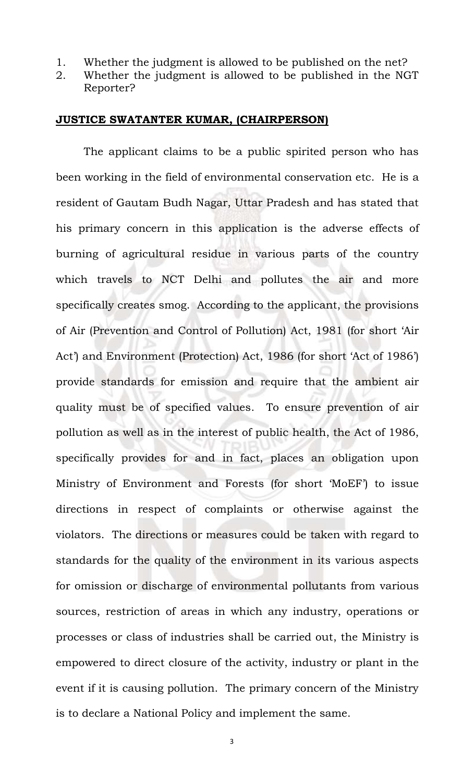- 1. Whether the judgment is allowed to be published on the net?
- 2. Whether the judgment is allowed to be published in the NGT Reporter?

#### **JUSTICE SWATANTER KUMAR, (CHAIRPERSON)**

The applicant claims to be a public spirited person who has been working in the field of environmental conservation etc. He is a resident of Gautam Budh Nagar, Uttar Pradesh and has stated that his primary concern in this application is the adverse effects of burning of agricultural residue in various parts of the country which travels to NCT Delhi and pollutes the air and more specifically creates smog. According to the applicant, the provisions of Air (Prevention and Control of Pollution) Act, 1981 (for short 'Air Act') and Environment (Protection) Act, 1986 (for short 'Act of 1986') provide standards for emission and require that the ambient air quality must be of specified values. To ensure prevention of air pollution as well as in the interest of public health, the Act of 1986, specifically provides for and in fact, places an obligation upon Ministry of Environment and Forests (for short 'MoEF') to issue directions in respect of complaints or otherwise against the violators. The directions or measures could be taken with regard to standards for the quality of the environment in its various aspects for omission or discharge of environmental pollutants from various sources, restriction of areas in which any industry, operations or processes or class of industries shall be carried out, the Ministry is empowered to direct closure of the activity, industry or plant in the event if it is causing pollution. The primary concern of the Ministry is to declare a National Policy and implement the same.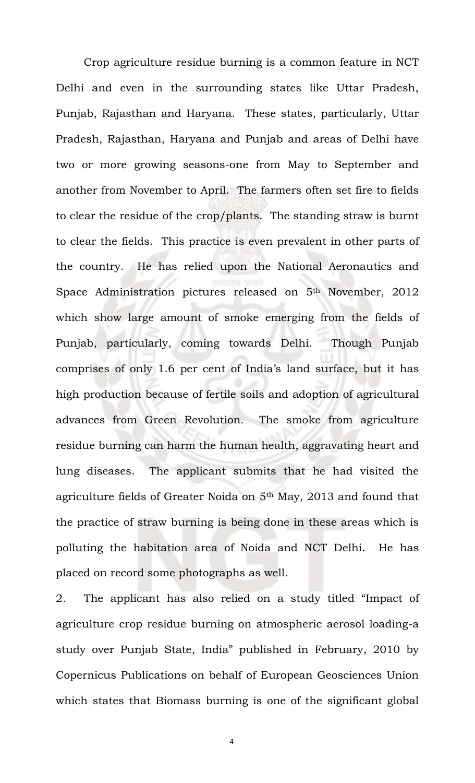Crop agriculture residue burning is a common feature in NCT Delhi and even in the surrounding states like Uttar Pradesh, Punjab, Rajasthan and Haryana. These states, particularly, Uttar Pradesh, Rajasthan, Haryana and Punjab and areas of Delhi have two or more growing seasons-one from May to September and another from November to April. The farmers often set fire to fields to clear the residue of the crop/plants. The standing straw is burnt to clear the fields. This practice is even prevalent in other parts of the country. He has relied upon the National Aeronautics and Space Administration pictures released on 5th November, 2012 which show large amount of smoke emerging from the fields of Punjab, particularly, coming towards Delhi. Though Punjab comprises of only 1.6 per cent of India's land surface, but it has high production because of fertile soils and adoption of agricultural advances from Green Revolution. The smoke from agriculture residue burning can harm the human health, aggravating heart and lung diseases. The applicant submits that he had visited the agriculture fields of Greater Noida on 5th May, 2013 and found that the practice of straw burning is being done in these areas which is polluting the habitation area of Noida and NCT Delhi. He has placed on record some photographs as well.

2. The applicant has also relied on a study titled "Impact of agriculture crop residue burning on atmospheric aerosol loading-a study over Punjab State, India" published in February, 2010 by Copernicus Publications on behalf of European Geosciences Union which states that Biomass burning is one of the significant global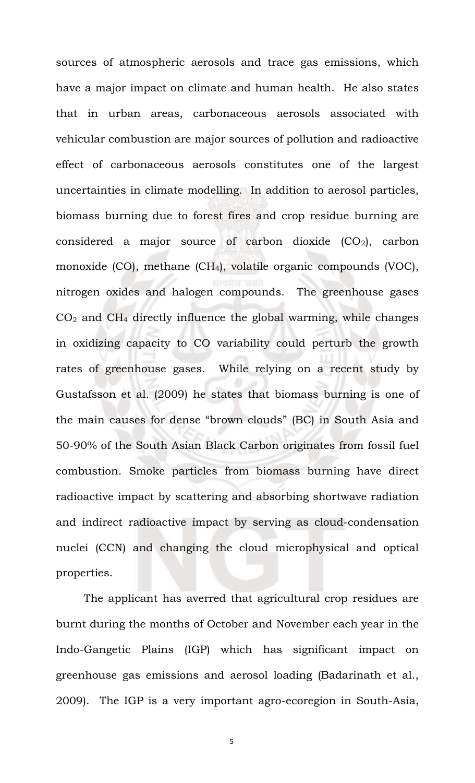sources of atmospheric aerosols and trace gas emissions, which have a major impact on climate and human health. He also states that in urban areas, carbonaceous aerosols associated with vehicular combustion are major sources of pollution and radioactive effect of carbonaceous aerosols constitutes one of the largest uncertainties in climate modelling. In addition to aerosol particles, biomass burning due to forest fires and crop residue burning are considered a major source of carbon dioxide  $(CO_2)$ , carbon monoxide (CO), methane (CH4), volatile organic compounds (VOC), nitrogen oxides and halogen compounds. The greenhouse gases  $CO<sub>2</sub>$  and  $CH<sub>4</sub>$  directly influence the global warming, while changes in oxidizing capacity to CO variability could perturb the growth rates of greenhouse gases. While relying on a recent study by Gustafsson et al. (2009) he states that biomass burning is one of the main causes for dense "brown clouds" (BC) in South Asia and 50-90% of the South Asian Black Carbon originates from fossil fuel combustion. Smoke particles from biomass burning have direct radioactive impact by scattering and absorbing shortwave radiation and indirect radioactive impact by serving as cloud-condensation nuclei (CCN) and changing the cloud microphysical and optical properties.

The applicant has averred that agricultural crop residues are burnt during the months of October and November each year in the Indo-Gangetic Plains (IGP) which has significant impact on greenhouse gas emissions and aerosol loading (Badarinath et al., 2009). The IGP is a very important agro-ecoregion in South-Asia,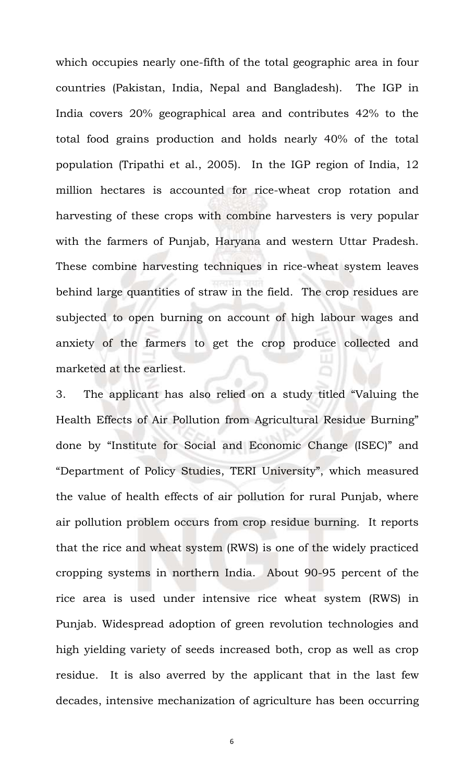which occupies nearly one-fifth of the total geographic area in four countries (Pakistan, India, Nepal and Bangladesh). The IGP in India covers 20% geographical area and contributes 42% to the total food grains production and holds nearly 40% of the total population (Tripathi et al., 2005). In the IGP region of India, 12 million hectares is accounted for rice-wheat crop rotation and harvesting of these crops with combine harvesters is very popular with the farmers of Punjab, Haryana and western Uttar Pradesh. These combine harvesting techniques in rice-wheat system leaves behind large quantities of straw in the field. The crop residues are subjected to open burning on account of high labour wages and anxiety of the farmers to get the crop produce collected and marketed at the earliest.

3. The applicant has also relied on a study titled "Valuing the Health Effects of Air Pollution from Agricultural Residue Burning" done by "Institute for Social and Economic Change (ISEC)" and "Department of Policy Studies, TERI University", which measured the value of health effects of air pollution for rural Punjab, where air pollution problem occurs from crop residue burning. It reports that the rice and wheat system (RWS) is one of the widely practiced cropping systems in northern India. About 90-95 percent of the rice area is used under intensive rice wheat system (RWS) in Punjab. Widespread adoption of green revolution technologies and high yielding variety of seeds increased both, crop as well as crop residue. It is also averred by the applicant that in the last few decades, intensive mechanization of agriculture has been occurring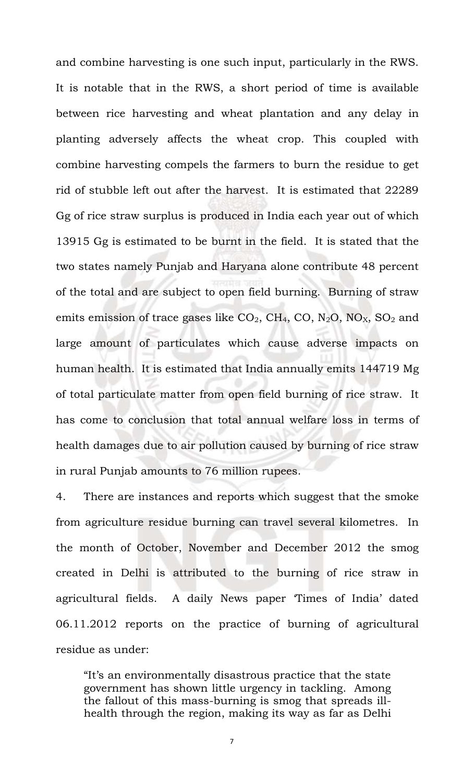and combine harvesting is one such input, particularly in the RWS. It is notable that in the RWS, a short period of time is available between rice harvesting and wheat plantation and any delay in planting adversely affects the wheat crop. This coupled with combine harvesting compels the farmers to burn the residue to get rid of stubble left out after the harvest. It is estimated that 22289 Gg of rice straw surplus is produced in India each year out of which 13915 Gg is estimated to be burnt in the field. It is stated that the two states namely Punjab and Haryana alone contribute 48 percent of the total and are subject to open field burning. Burning of straw emits emission of trace gases like  $CO<sub>2</sub>$ , CH<sub>4</sub>, CO, N<sub>2</sub>O, NO<sub>X</sub>, SO<sub>2</sub> and large amount of particulates which cause adverse impacts on human health. It is estimated that India annually emits 144719 Mg of total particulate matter from open field burning of rice straw. It has come to conclusion that total annual welfare loss in terms of health damages due to air pollution caused by burning of rice straw in rural Punjab amounts to 76 million rupees.

4. There are instances and reports which suggest that the smoke from agriculture residue burning can travel several kilometres. In the month of October, November and December 2012 the smog created in Delhi is attributed to the burning of rice straw in agricultural fields. A daily News paper 'Times of India' dated 06.11.2012 reports on the practice of burning of agricultural residue as under:

"It's an environmentally disastrous practice that the state government has shown little urgency in tackling. Among the fallout of this mass-burning is smog that spreads illhealth through the region, making its way as far as Delhi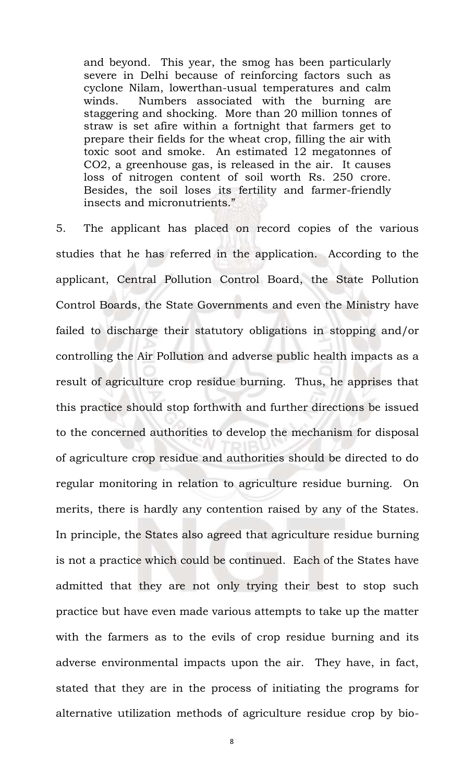and beyond. This year, the smog has been particularly severe in Delhi because of reinforcing factors such as cyclone Nilam, lowerthan-usual temperatures and calm winds. Numbers associated with the burning are staggering and shocking. More than 20 million tonnes of straw is set afire within a fortnight that farmers get to prepare their fields for the wheat crop, filling the air with toxic soot and smoke. An estimated 12 megatonnes of CO2, a greenhouse gas, is released in the air. It causes loss of nitrogen content of soil worth Rs. 250 crore. Besides, the soil loses its fertility and farmer-friendly insects and micronutrients."

5. The applicant has placed on record copies of the various studies that he has referred in the application. According to the applicant, Central Pollution Control Board, the State Pollution Control Boards, the State Governments and even the Ministry have failed to discharge their statutory obligations in stopping and/or controlling the Air Pollution and adverse public health impacts as a result of agriculture crop residue burning. Thus, he apprises that this practice should stop forthwith and further directions be issued to the concerned authorities to develop the mechanism for disposal of agriculture crop residue and authorities should be directed to do regular monitoring in relation to agriculture residue burning. On merits, there is hardly any contention raised by any of the States. In principle, the States also agreed that agriculture residue burning is not a practice which could be continued. Each of the States have admitted that they are not only trying their best to stop such practice but have even made various attempts to take up the matter with the farmers as to the evils of crop residue burning and its adverse environmental impacts upon the air. They have, in fact, stated that they are in the process of initiating the programs for alternative utilization methods of agriculture residue crop by bio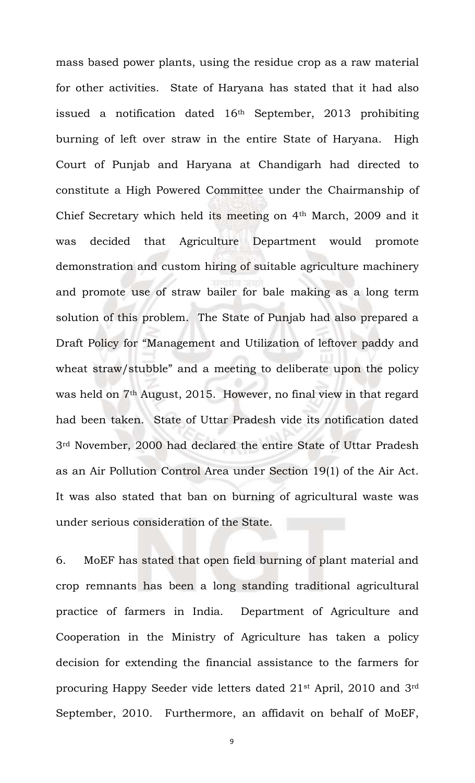mass based power plants, using the residue crop as a raw material for other activities. State of Haryana has stated that it had also issued a notification dated  $16<sup>th</sup>$  September, 2013 prohibiting burning of left over straw in the entire State of Haryana. High Court of Punjab and Haryana at Chandigarh had directed to constitute a High Powered Committee under the Chairmanship of Chief Secretary which held its meeting on 4th March, 2009 and it was decided that Agriculture Department would promote demonstration and custom hiring of suitable agriculture machinery and promote use of straw bailer for bale making as a long term solution of this problem. The State of Punjab had also prepared a Draft Policy for "Management and Utilization of leftover paddy and wheat straw/stubble" and a meeting to deliberate upon the policy was held on 7<sup>th</sup> August, 2015. However, no final view in that regard had been taken. State of Uttar Pradesh vide its notification dated 3rd November, 2000 had declared the entire State of Uttar Pradesh as an Air Pollution Control Area under Section 19(1) of the Air Act. It was also stated that ban on burning of agricultural waste was under serious consideration of the State.

6. MoEF has stated that open field burning of plant material and crop remnants has been a long standing traditional agricultural practice of farmers in India. Department of Agriculture and Cooperation in the Ministry of Agriculture has taken a policy decision for extending the financial assistance to the farmers for procuring Happy Seeder vide letters dated 21st April, 2010 and 3rd September, 2010. Furthermore, an affidavit on behalf of MoEF,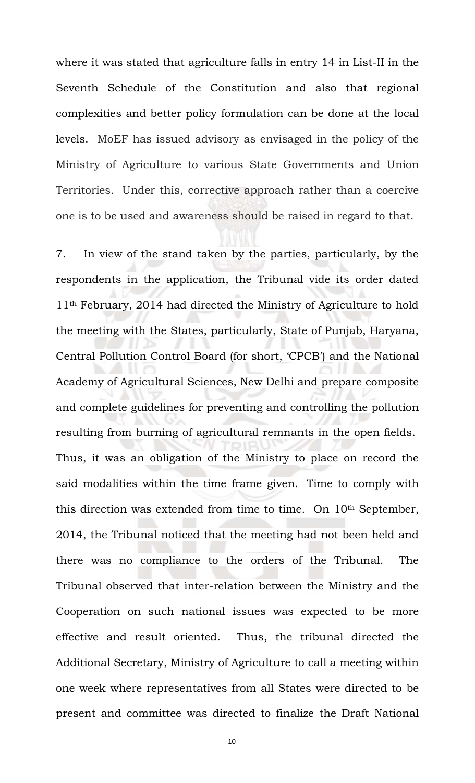where it was stated that agriculture falls in entry 14 in List-II in the Seventh Schedule of the Constitution and also that regional complexities and better policy formulation can be done at the local levels. MoEF has issued advisory as envisaged in the policy of the Ministry of Agriculture to various State Governments and Union Territories. Under this, corrective approach rather than a coercive one is to be used and awareness should be raised in regard to that.

7. In view of the stand taken by the parties, particularly, by the respondents in the application, the Tribunal vide its order dated 11th February, 2014 had directed the Ministry of Agriculture to hold the meeting with the States, particularly, State of Punjab, Haryana, Central Pollution Control Board (for short, 'CPCB') and the National Academy of Agricultural Sciences, New Delhi and prepare composite and complete guidelines for preventing and controlling the pollution resulting from burning of agricultural remnants in the open fields. Thus, it was an obligation of the Ministry to place on record the said modalities within the time frame given. Time to comply with this direction was extended from time to time. On 10th September, 2014, the Tribunal noticed that the meeting had not been held and there was no compliance to the orders of the Tribunal. The Tribunal observed that ìnter-relation between the Ministry and the Cooperation on such national issues was expected to be more effective and result oriented. Thus, the tribunal directed the Additional Secretary, Ministry of Agriculture to call a meeting within one week where representatives from all States were directed to be present and committee was directed to finalize the Draft National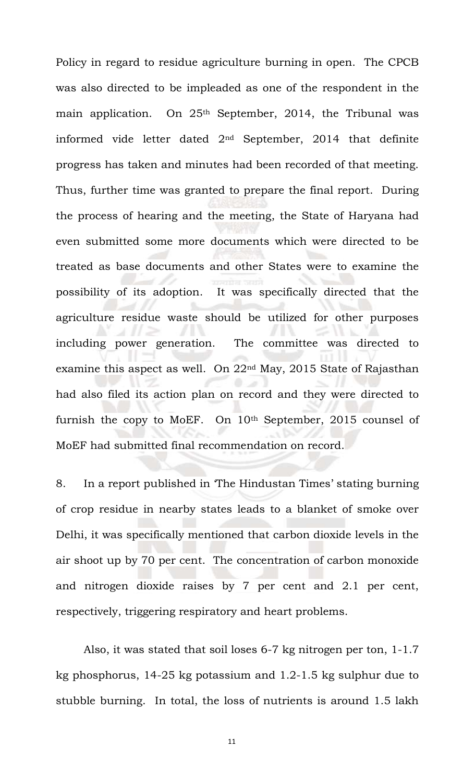Policy in regard to residue agriculture burning in open. The CPCB was also directed to be impleaded as one of the respondent in the main application. On 25<sup>th</sup> September, 2014, the Tribunal was informed vide letter dated 2nd September, 2014 that definite progress has taken and minutes had been recorded of that meeting. Thus, further time was granted to prepare the final report. During the process of hearing and the meeting, the State of Haryana had even submitted some more documents which were directed to be treated as base documents and other States were to examine the possibility of its adoption.It was specifically directed that the agriculture residue waste should be utilized for other purposes including power generation. The committee was directed to examine this aspect as well. On 22nd May, 2015 State of Rajasthan had also filed its action plan on record and they were directed to furnish the copy to MoEF. On 10<sup>th</sup> September, 2015 counsel of MoEF had submitted final recommendation on record.

8. In a report published in 'The Hindustan Times' stating burning of crop residue in nearby states leads to a blanket of smoke over Delhi, it was specifically mentioned that carbon dioxide levels in the air shoot up by 70 per cent. The concentration of carbon monoxide and nitrogen dioxide raises by 7 per cent and 2.1 per cent, respectively, triggering respiratory and heart problems.

Also, it was stated that soil loses 6-7 kg nitrogen per ton, 1-1.7 kg phosphorus, 14-25 kg potassium and 1.2-1.5 kg sulphur due to stubble burning. In total, the loss of nutrients is around 1.5 lakh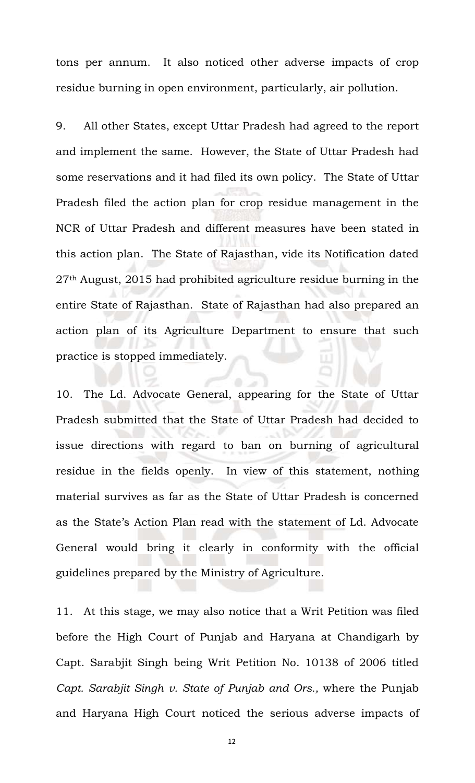tons per annum. It also noticed other adverse impacts of crop residue burning in open environment, particularly, air pollution.

9. All other States, except Uttar Pradesh had agreed to the report and implement the same. However, the State of Uttar Pradesh had some reservations and it had filed its own policy. The State of Uttar Pradesh filed the action plan for crop residue management in the NCR of Uttar Pradesh and different measures have been stated in this action plan. The State of Rajasthan, vide its Notification dated 27th August, 2015 had prohibited agriculture residue burning in the entire State of Rajasthan. State of Rajasthan had also prepared an action plan of its Agriculture Department to ensure that such practice is stopped immediately.

10. The Ld. Advocate General, appearing for the State of Uttar Pradesh submitted that the State of Uttar Pradesh had decided to issue directions with regard to ban on burning of agricultural residue in the fields openly. In view of this statement, nothing material survives as far as the State of Uttar Pradesh is concerned as the State's Action Plan read with the statement of Ld. Advocate General would bring it clearly in conformity with the official guidelines prepared by the Ministry of Agriculture.

11. At this stage, we may also notice that a Writ Petition was filed before the High Court of Punjab and Haryana at Chandigarh by Capt. Sarabjit Singh being Writ Petition No. 10138 of 2006 titled *Capt. Sarabjit Singh v. State of Punjab and Ors.,* where the Punjab and Haryana High Court noticed the serious adverse impacts of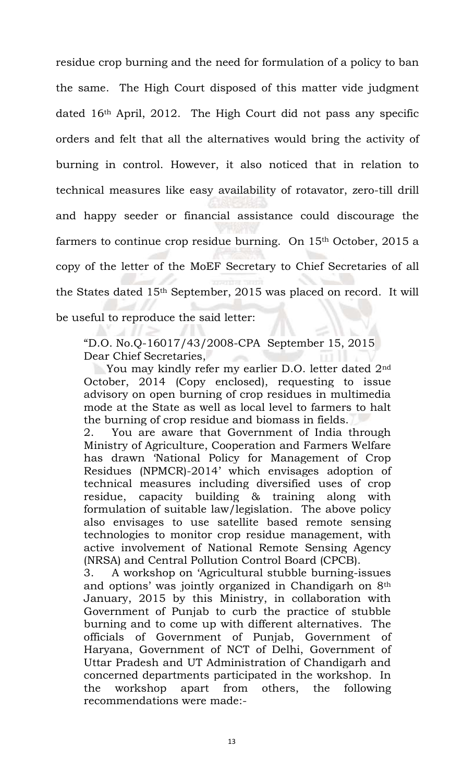residue crop burning and the need for formulation of a policy to ban the same. The High Court disposed of this matter vide judgment dated 16th April, 2012. The High Court did not pass any specific orders and felt that all the alternatives would bring the activity of burning in control. However, it also noticed that in relation to technical measures like easy availability of rotavator, zero-till drill and happy seeder or financial assistance could discourage the farmers to continue crop residue burning. On 15<sup>th</sup> October, 2015 a copy of the letter of the MoEF Secretary to Chief Secretaries of all the States dated 15th September, 2015 was placed on record. It will be useful to reproduce the said letter:

"D.O. No.Q-16017/43/2008-CPA September 15, 2015 Dear Chief Secretaries,

You may kindly refer my earlier D.O. letter dated 2<sup>nd</sup> October, 2014 (Copy enclosed), requesting to issue advisory on open burning of crop residues in multimedia mode at the State as well as local level to farmers to halt the burning of crop residue and biomass in fields.

2. You are aware that Government of India through Ministry of Agriculture, Cooperation and Farmers Welfare has drawn 'National Policy for Management of Crop Residues (NPMCR)-2014' which envisages adoption of technical measures including diversified uses of crop residue, capacity building & training along with formulation of suitable law/legislation. The above policy also envisages to use satellite based remote sensing technologies to monitor crop residue management, with active involvement of National Remote Sensing Agency (NRSA) and Central Pollution Control Board (CPCB).

3. A workshop on 'Agricultural stubble burning-issues and options' was jointly organized in Chandigarh on 8th January, 2015 by this Ministry, in collaboration with Government of Punjab to curb the practice of stubble burning and to come up with different alternatives. The officials of Government of Punjab, Government of Haryana, Government of NCT of Delhi, Government of Uttar Pradesh and UT Administration of Chandigarh and concerned departments participated in the workshop. In the workshop apart from others, the following recommendations were made:-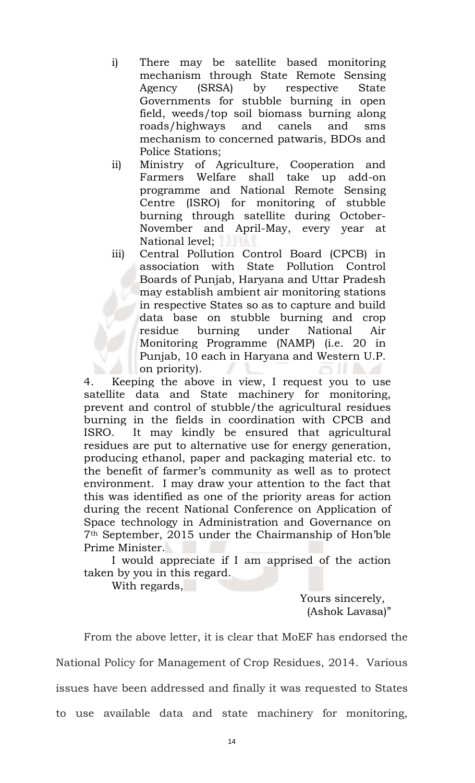- i) There may be satellite based monitoring mechanism through State Remote Sensing Agency (SRSA) by respective State Governments for stubble burning in open field, weeds/top soil biomass burning along roads/highways and canels and sms mechanism to concerned patwaris, BDOs and Police Stations;
- ii) Ministry of Agriculture, Cooperation and Farmers Welfare shall take up add-on programme and National Remote Sensing Centre (ISRO) for monitoring of stubble burning through satellite during October-November and April-May, every year at National level;
- iii) Central Pollution Control Board (CPCB) in association with State Pollution Control Boards of Punjab, Haryana and Uttar Pradesh may establish ambient air monitoring stations in respective States so as to capture and build data base on stubble burning and crop residue burning under National Air Monitoring Programme (NAMP) (i.e. 20 in Punjab, 10 each in Haryana and Western U.P. on priority).

4. Keeping the above in view, I request you to use satellite data and State machinery for monitoring, prevent and control of stubble/the agricultural residues burning in the fields in coordination with CPCB and ISRO. It may kindly be ensured that agricultural residues are put to alternative use for energy generation, producing ethanol, paper and packaging material etc. to the benefit of farmer's community as well as to protect environment. I may draw your attention to the fact that this was identified as one of the priority areas for action during the recent National Conference on Application of Space technology in Administration and Governance on 7th September, 2015 under the Chairmanship of Hon'ble Prime Minister.

I would appreciate if I am apprised of the action taken by you in this regard.

With regards,

 Yours sincerely, (Ashok Lavasa)"

From the above letter, it is clear that MoEF has endorsed the National Policy for Management of Crop Residues, 2014. Various issues have been addressed and finally it was requested to States to use available data and state machinery for monitoring,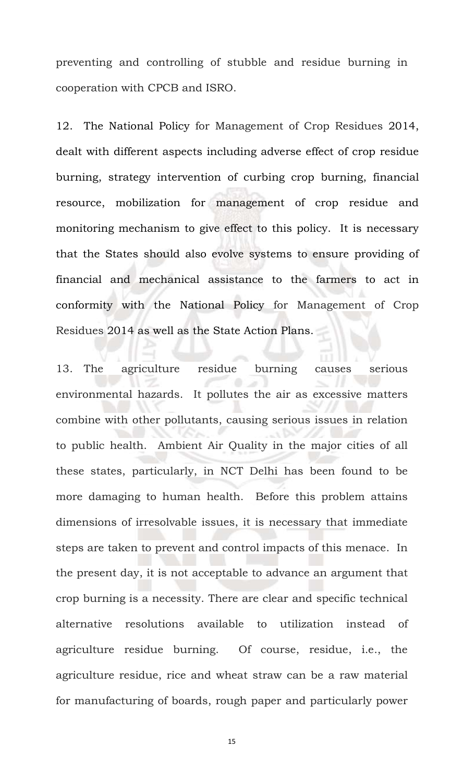preventing and controlling of stubble and residue burning in cooperation with CPCB and ISRO.

12. The National Policy for Management of Crop Residues 2014, dealt with different aspects including adverse effect of crop residue burning, strategy intervention of curbing crop burning, financial resource, mobilization for management of crop residue and monitoring mechanism to give effect to this policy. It is necessary that the States should also evolve systems to ensure providing of financial and mechanical assistance to the farmers to act in conformity with the National Policy for Management of Crop Residues 2014 as well as the State Action Plans.

13. The agriculture residue burning causes serious environmental hazards. It pollutes the air as excessive matters combine with other pollutants, causing serious issues in relation to public health. Ambient Air Quality in the major cities of all these states, particularly, in NCT Delhi has been found to be more damaging to human health. Before this problem attains dimensions of irresolvable issues, it is necessary that immediate steps are taken to prevent and control impacts of this menace. In the present day, it is not acceptable to advance an argument that crop burning is a necessity. There are clear and specific technical alternative resolutions available to utilization instead of agriculture residue burning. Of course, residue, i.e., the agriculture residue, rice and wheat straw can be a raw material for manufacturing of boards, rough paper and particularly power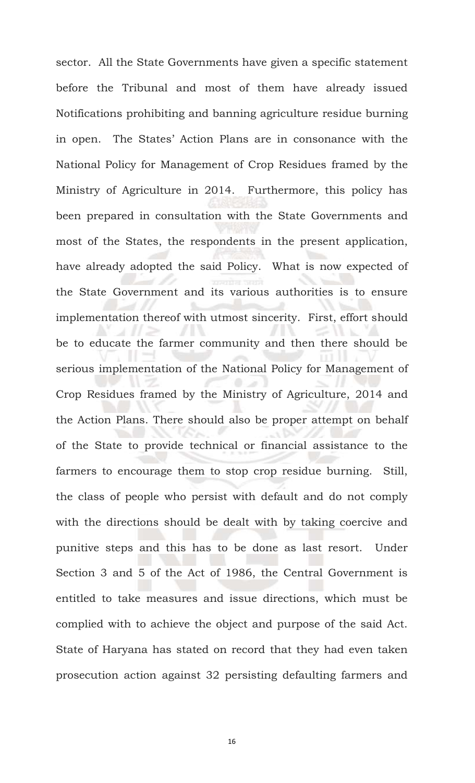sector. All the State Governments have given a specific statement before the Tribunal and most of them have already issued Notifications prohibiting and banning agriculture residue burning in open. The States' Action Plans are in consonance with the National Policy for Management of Crop Residues framed by the Ministry of Agriculture in 2014. Furthermore, this policy has been prepared in consultation with the State Governments and most of the States, the respondents in the present application, have already adopted the said Policy. What is now expected of the State Government and its various authorities is to ensure implementation thereof with utmost sincerity. First, effort should be to educate the farmer community and then there should be serious implementation of the National Policy for Management of Crop Residues framed by the Ministry of Agriculture, 2014 and the Action Plans. There should also be proper attempt on behalf of the State to provide technical or financial assistance to the farmers to encourage them to stop crop residue burning. Still, the class of people who persist with default and do not comply with the directions should be dealt with by taking coercive and punitive steps and this has to be done as last resort. Under Section 3 and 5 of the Act of 1986, the Central Government is entitled to take measures and issue directions, which must be complied with to achieve the object and purpose of the said Act. State of Haryana has stated on record that they had even taken prosecution action against 32 persisting defaulting farmers and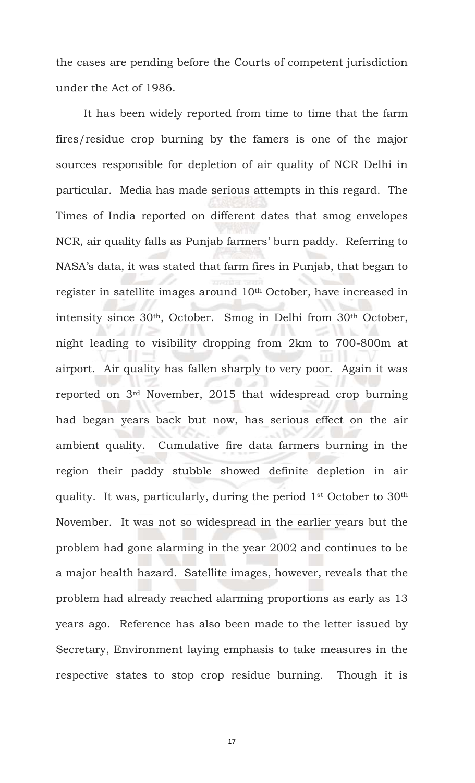the cases are pending before the Courts of competent jurisdiction under the Act of 1986.

It has been widely reported from time to time that the farm fires/residue crop burning by the famers is one of the major sources responsible for depletion of air quality of NCR Delhi in particular. Media has made serious attempts in this regard. The Times of India reported on different dates that smog envelopes NCR, air quality falls as Punjab farmers' burn paddy. Referring to NASA's data, it was stated that farm fires in Punjab, that began to register in satellite images around 10th October, have increased in intensity since 30th, October. Smog in Delhi from 30th October, night leading to visibility dropping from 2km to 700-800m at airport. Air quality has fallen sharply to very poor. Again it was reported on 3rd November, 2015 that widespread crop burning had began years back but now, has serious effect on the air ambient quality. Cumulative fire data farmers burning in the region their paddy stubble showed definite depletion in air quality. It was, particularly, during the period 1st October to 30th November. It was not so widespread in the earlier years but the problem had gone alarming in the year 2002 and continues to be a major health hazard. Satellite images, however, reveals that the problem had already reached alarming proportions as early as 13 years ago. Reference has also been made to the letter issued by Secretary, Environment laying emphasis to take measures in the respective states to stop crop residue burning. Though it is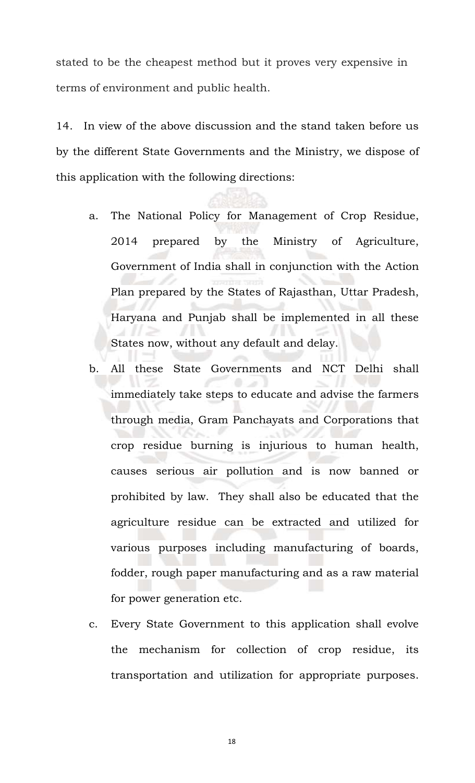stated to be the cheapest method but it proves very expensive in terms of environment and public health.

14. In view of the above discussion and the stand taken before us by the different State Governments and the Ministry, we dispose of this application with the following directions:

- a. The National Policy for Management of Crop Residue, 2014 prepared by the Ministry of Agriculture, Government of India shall in conjunction with the Action Plan prepared by the States of Rajasthan, Uttar Pradesh, Haryana and Punjab shall be implemented in all these States now, without any default and delay.
- b. All these State Governments and NCT Delhi shall immediately take steps to educate and advise the farmers through media, Gram Panchayats and Corporations that crop residue burning is injurious to human health, causes serious air pollution and is now banned or prohibited by law. They shall also be educated that the agriculture residue can be extracted and utilized for various purposes including manufacturing of boards, fodder, rough paper manufacturing and as a raw material for power generation etc.
- c. Every State Government to this application shall evolve the mechanism for collection of crop residue, its transportation and utilization for appropriate purposes.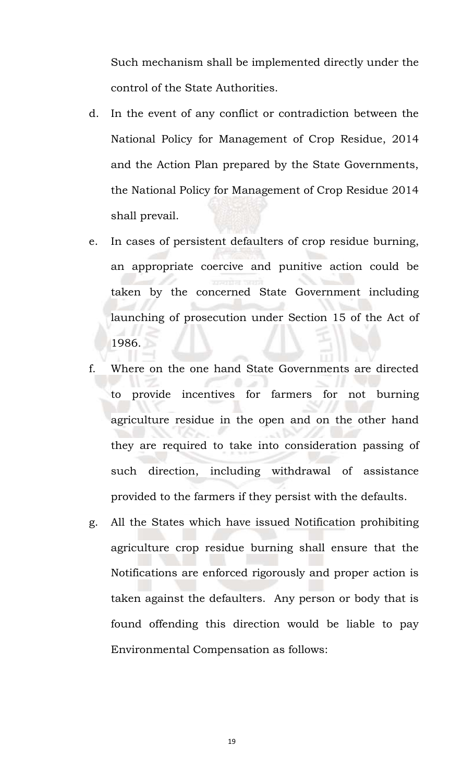Such mechanism shall be implemented directly under the control of the State Authorities.

- d. In the event of any conflict or contradiction between the National Policy for Management of Crop Residue, 2014 and the Action Plan prepared by the State Governments, the National Policy for Management of Crop Residue 2014 shall prevail.
- e. In cases of persistent defaulters of crop residue burning, an appropriate coercive and punitive action could be taken by the concerned State Government including launching of prosecution under Section 15 of the Act of 1986.
- f. Where on the one hand State Governments are directed to provide incentives for farmers for not burning agriculture residue in the open and on the other hand they are required to take into consideration passing of such direction, including withdrawal of assistance provided to the farmers if they persist with the defaults.
- g. All the States which have issued Notification prohibiting agriculture crop residue burning shall ensure that the Notifications are enforced rigorously and proper action is taken against the defaulters. Any person or body that is found offending this direction would be liable to pay Environmental Compensation as follows: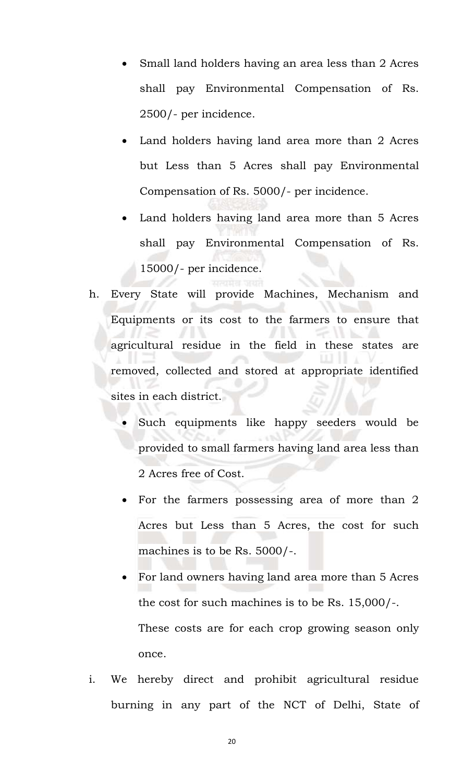- Small land holders having an area less than 2 Acres shall pay Environmental Compensation of Rs. 2500/- per incidence.
- Land holders having land area more than 2 Acres but Less than 5 Acres shall pay Environmental Compensation of Rs. 5000/- per incidence.
- Land holders having land area more than 5 Acres shall pay Environmental Compensation of Rs. 15000/- per incidence.
- h. Every State will provide Machines, Mechanism and Equipments or its cost to the farmers to ensure that agricultural residue in the field in these states are removed, collected and stored at appropriate identified sites in each district.
	- Such equipments like happy seeders would be provided to small farmers having land area less than 2 Acres free of Cost.
	- For the farmers possessing area of more than 2 Acres but Less than 5 Acres, the cost for such machines is to be Rs. 5000/-.
	- For land owners having land area more than 5 Acres the cost for such machines is to be Rs. 15,000/-. These costs are for each crop growing season only once.
- i. We hereby direct and prohibit agricultural residue burning in any part of the NCT of Delhi, State of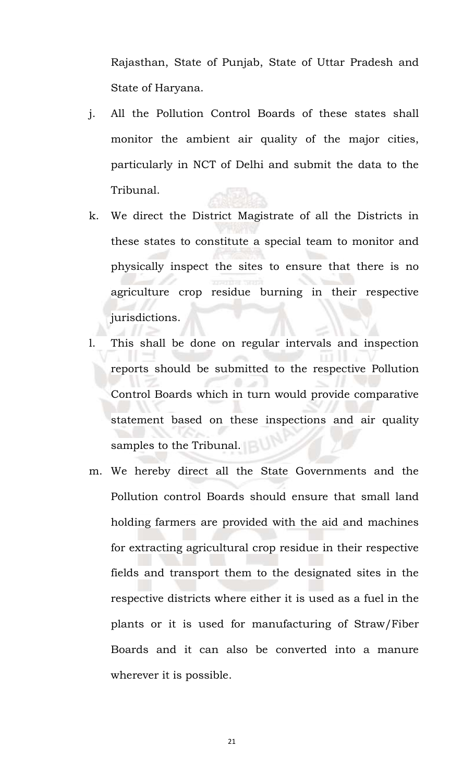Rajasthan, State of Punjab, State of Uttar Pradesh and State of Haryana.

- j. All the Pollution Control Boards of these states shall monitor the ambient air quality of the major cities, particularly in NCT of Delhi and submit the data to the Tribunal.
- k. We direct the District Magistrate of all the Districts in these states to constitute a special team to monitor and physically inspect the sites to ensure that there is no agriculture crop residue burning in their respective jurisdictions.
- l. This shall be done on regular intervals and inspection reports should be submitted to the respective Pollution Control Boards which in turn would provide comparative statement based on these inspections and air quality samples to the Tribunal.
- m. We hereby direct all the State Governments and the Pollution control Boards should ensure that small land holding farmers are provided with the aid and machines for extracting agricultural crop residue in their respective fields and transport them to the designated sites in the respective districts where either it is used as a fuel in the plants or it is used for manufacturing of Straw/Fiber Boards and it can also be converted into a manure wherever it is possible.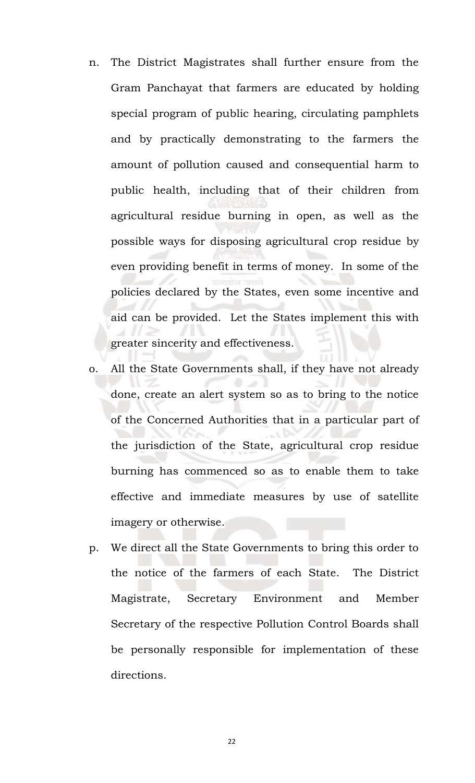- n. The District Magistrates shall further ensure from the Gram Panchayat that farmers are educated by holding special program of public hearing, circulating pamphlets and by practically demonstrating to the farmers the amount of pollution caused and consequential harm to public health, including that of their children from agricultural residue burning in open, as well as the possible ways for disposing agricultural crop residue by even providing benefit in terms of money. In some of the policies declared by the States, even some incentive and aid can be provided. Let the States implement this with greater sincerity and effectiveness.
- o. All the State Governments shall, if they have not already done, create an alert system so as to bring to the notice of the Concerned Authorities that in a particular part of the jurisdiction of the State, agricultural crop residue burning has commenced so as to enable them to take effective and immediate measures by use of satellite imagery or otherwise.
- p. We direct all the State Governments to bring this order to the notice of the farmers of each State. The District Magistrate, Secretary Environment and Member Secretary of the respective Pollution Control Boards shall be personally responsible for implementation of these directions.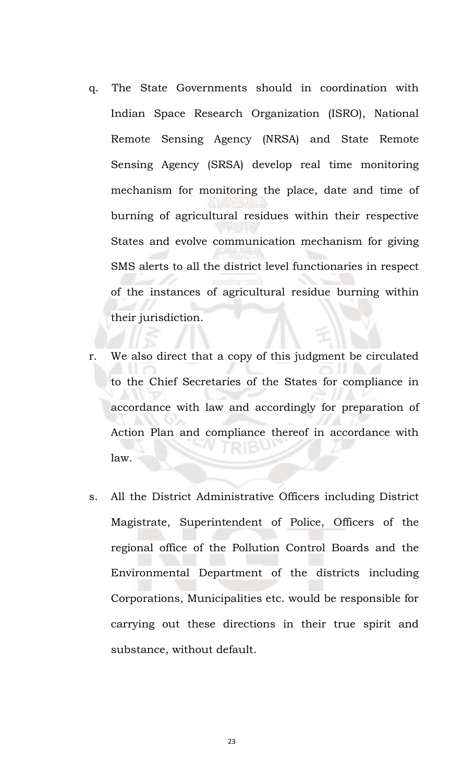- q. The State Governments should in coordination with Indian Space Research Organization (ISRO), National Remote Sensing Agency (NRSA) and State Remote Sensing Agency (SRSA) develop real time monitoring mechanism for monitoring the place, date and time of burning of agricultural residues within their respective States and evolve communication mechanism for giving SMS alerts to all the district level functionaries in respect of the instances of agricultural residue burning within their jurisdiction.
- r. We also direct that a copy of this judgment be circulated to the Chief Secretaries of the States for compliance in accordance with law and accordingly for preparation of Action Plan and compliance thereof in accordance with law.
- s. All the District Administrative Officers including District Magistrate, Superintendent of Police, Officers of the regional office of the Pollution Control Boards and the Environmental Department of the districts including Corporations, Municipalities etc. would be responsible for carrying out these directions in their true spirit and substance, without default.